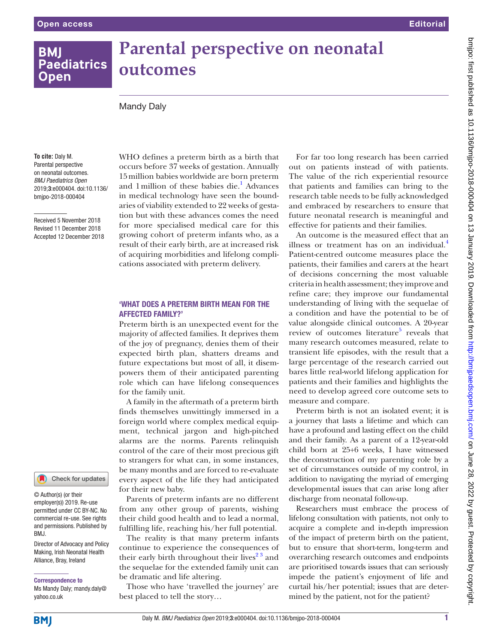# **BMI Paediatrics Open**

# **Parental perspective on neonatal outcomes**

## Mandy Daly

**To cite:** Daly M. Parental perspective on neonatal outcomes. *BMJ Paediatrics Open* 2019;3:e000404. doi:10.1136/ bmjpo-2018-000404

Received 5 November 2018 Revised 11 December 2018 Accepted 12 December 2018 occurs before 37 weeks of gestation. Annually 15million babies worldwide are born preterm and 1 million of these babies die.<sup>1</sup> Advances in medical technology have seen the boundaries of viability extended to 22 weeks of gestation but with these advances comes the need for more specialised medical care for this growing cohort of preterm infants who, as a result of their early birth, are at increased risk of acquiring morbidities and lifelong complications associated with preterm delivery.

WHO defines a preterm birth as a birth that

#### 'What does a preterm birth mean for the affected family?'

Preterm birth is an unexpected event for the majority of affected families. It deprives them of the joy of pregnancy, denies them of their expected birth plan, shatters dreams and future expectations but most of all, it disempowers them of their anticipated parenting role which can have lifelong consequences for the family unit.

A family in the aftermath of a preterm birth finds themselves unwittingly immersed in a foreign world where complex medical equipment, technical jargon and high-pitched alarms are the norms. Parents relinquish control of the care of their most precious gift to strangers for what can, in some instances, be many months and are forced to re-evaluate every aspect of the life they had anticipated for their new baby.

Parents of preterm infants are no different from any other group of parents, wishing their child good health and to lead a normal, fulfilling life, reaching his/her full potential.

The reality is that many preterm infants continue to experience the consequences of their early birth throughout their lives<sup>23</sup> and the sequelae for the extended family unit can be dramatic and life altering.

Those who have 'travelled the journey' are best placed to tell the story…

For far too long research has been carried out on patients instead of with patients. The value of the rich experiential resource that patients and families can bring to the research table needs to be fully acknowledged and embraced by researchers to ensure that future neonatal research is meaningful and effective for patients and their families.

An outcome is the measured effect that an illness or treatment has on an individual. $<sup>4</sup>$  $<sup>4</sup>$  $<sup>4</sup>$ </sup> Patient-centred outcome measures place the patients, their families and carers at the heart of decisions concerning the most valuable criteria in health assessment; they improve and refine care; they improve our fundamental understanding of living with the sequelae of a condition and have the potential to be of value alongside clinical outcomes. A 20-year review of outcomes literature<sup>5</sup> reveals that many research outcomes measured, relate to transient life episodes, with the result that a large percentage of the research carried out bares little real-world lifelong application for patients and their families and highlights the need to develop agreed core outcome sets to measure and compare.

Preterm birth is not an isolated event; it is a journey that lasts a lifetime and which can have a profound and lasting effect on the child and their family. As a parent of a 12-year-old child born at 25+6 weeks, I have witnessed the deconstruction of my parenting role by a set of circumstances outside of my control, in addition to navigating the myriad of emerging developmental issues that can arise long after discharge from neonatal follow-up.

Researchers must embrace the process of lifelong consultation with patients, not only to acquire a complete and in-depth impression of the impact of preterm birth on the patient, but to ensure that short-term, long-term and overarching research outcomes and endpoints are prioritised towards issues that can seriously impede the patient's enjoyment of life and curtail his/her potential; issues that are determined by the patient, not for the patient?

## Check for updates

© Author(s) (or their employer(s)) 2019. Re-use permitted under CC BY-NC. No commercial re-use. See rights and permissions. Published by BMJ.

Director of Advocacy and Policy Making, Irish Neonatal Health Alliance, Bray, Ireland

#### Correspondence to

Ms Mandy Daly; mandy.daly@ yahoo.co.uk